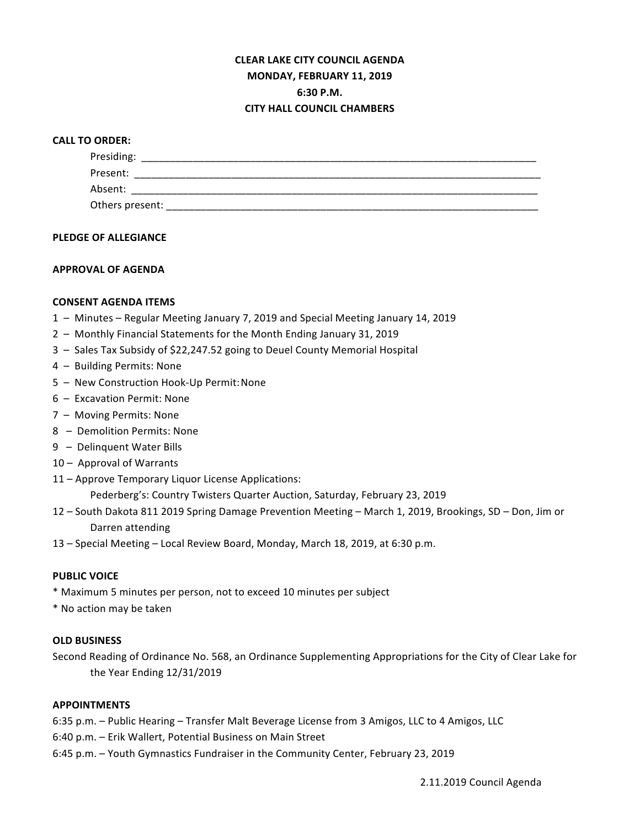# **CLEAR LAKE CITY COUNCIL AGENDA MONDAY, FEBRUARY 11, 2019 6:30 P.M. CITY HALL COUNCIL CHAMBERS**

## **CALL TO ORDER:**

| Presiding:      |  |  |
|-----------------|--|--|
| Present:        |  |  |
| Absent:         |  |  |
| Others present: |  |  |

#### **PLEDGE OF ALLEGIANCE**

## **APPROVAL OF AGENDA**

## **CONSENT AGENDA ITEMS**

- 1 Minutes Regular Meeting January 7, 2019 and Special Meeting January 14, 2019
- 2 Monthly Financial Statements for the Month Ending January 31, 2019
- 3 Sales Tax Subsidy of \$22,247.52 going to Deuel County Memorial Hospital
- 4 Building Permits: None
- 5 New Construction Hook-Up Permit: None
- $6 -$  Excavation Permit: None
- 7 Moving Permits: None
- 8 Demolition Permits: None
- 9 Delinquent Water Bills
- 10 Approval of Warrants
- 11 Approve Temporary Liquor License Applications:

Pederberg's: Country Twisters Quarter Auction, Saturday, February 23, 2019

- 12 South Dakota 811 2019 Spring Damage Prevention Meeting March 1, 2019, Brookings, SD Don, Jim or Darren attending
- 13 Special Meeting Local Review Board, Monday, March 18, 2019, at 6:30 p.m.

#### **PUBLIC VOICE**

- \* Maximum 5 minutes per person, not to exceed 10 minutes per subject
- \* No action may be taken

#### **OLD BUSINESS**

Second Reading of Ordinance No. 568, an Ordinance Supplementing Appropriations for the City of Clear Lake for the Year Ending 12/31/2019

#### **APPOINTMENTS**

6:35 p.m. - Public Hearing - Transfer Malt Beverage License from 3 Amigos, LLC to 4 Amigos, LLC

6:40 p.m. - Erik Wallert, Potential Business on Main Street

6:45 p.m. - Youth Gymnastics Fundraiser in the Community Center, February 23, 2019